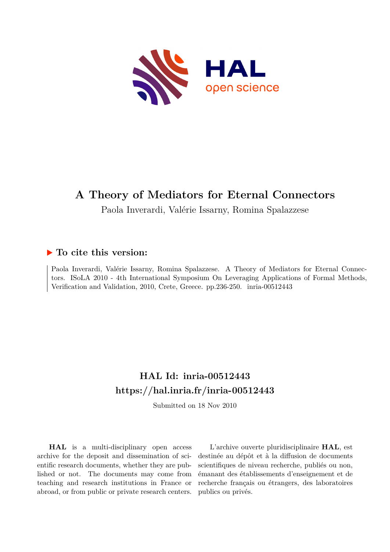

# **A Theory of Mediators for Eternal Connectors**

Paola Inverardi, Valérie Issarny, Romina Spalazzese

# **To cite this version:**

Paola Inverardi, Valérie Issarny, Romina Spalazzese. A Theory of Mediators for Eternal Connectors. ISoLA 2010 - 4th International Symposium On Leveraging Applications of Formal Methods, Verification and Validation, 2010, Crete, Greece. pp.236-250.  $inria-00512443$ 

# **HAL Id: inria-00512443 <https://hal.inria.fr/inria-00512443>**

Submitted on 18 Nov 2010

**HAL** is a multi-disciplinary open access archive for the deposit and dissemination of scientific research documents, whether they are published or not. The documents may come from teaching and research institutions in France or abroad, or from public or private research centers.

L'archive ouverte pluridisciplinaire **HAL**, est destinée au dépôt et à la diffusion de documents scientifiques de niveau recherche, publiés ou non, émanant des établissements d'enseignement et de recherche français ou étrangers, des laboratoires publics ou privés.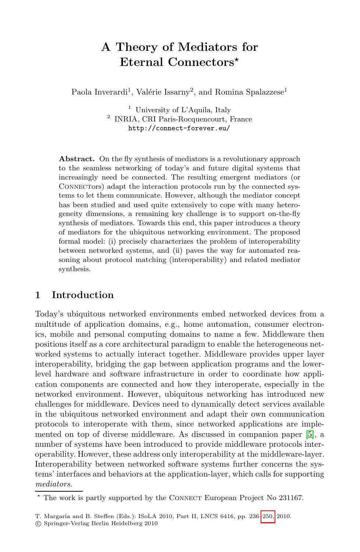# **A Theory of Mediators for Eternal Connectors***-*

Paola Inverardi<sup>1</sup>, Valérie Issarny<sup>2</sup>, and Romina Spalazzese<sup>1</sup>

<sup>1</sup> University of L'Aquila, Italy <sup>2</sup> INRIA, CRI Paris-Rocquencourt, France http://connect-forever.eu/

Abstract. On the fly synthesis of mediators is a revolutionary approach to the seamless networking of today's and future digital systems that increasingly need be connected. The resulting emergent mediators (or CONNECTORS) adapt the interaction protocols run by the connected systems to let them communicate. However, although the mediator concept has been studied and used quite extensively to cope with many heterogeneity dimensions, a remaining key challenge is to support on-the-fly synthesis of mediators. Towards this end, this paper introduces a theory of mediators for the ubiquitous networking environment. The proposed formal model: (i) precisely characterizes the problem of interoperability between networked systems, and (ii) paves the way for automated reasoning about protocol matching (interoperability) and related mediator synthesis.

## **1 Introduction**

Today's ubiquitous networked environments embed networked devices from a multitude of application domains, e.g., home automation, consumer electronics, mobile and personal computing domains to name a few. Middleware then positions itself as a core architectural paradigm to enable the heterogeneous networked systems to actually interact together. Middleware provides upper layer interoperability, bridging the gap between application programs and the lowerlevel hardware and software infrastructure in order to coordinate how application components are connected and how they interoperate, especially in the networked environment. However, ubiquitous networking has introduced new challenges for middleware. Devices need to dynamically detect services available in the ubiquitous networked environment and adapt their own communication protocols to interoperate with them, since networked applications are implemented on top of diverse middleware. As discussed in companion paper [5], a number of systems have been introduced to provide middleware protocols interoperability. However, these address only interoperability at the middleware-layer. Interoperability between networked software systems further concerns the systems' interfaces and behaviors at the application-layer, which calls for supporting *mediators*.

<sup>\*</sup> The work is partly supported by the CONNECT European Project No 231167.

T. Margaria and B. Steffen (Eds.): ISoLA 2010, Part II, LNCS 6416, pp. 236[–250,](#page-15-0) 2010.

<sup>-</sup>c Springer-Verlag Berlin Heidelberg 2010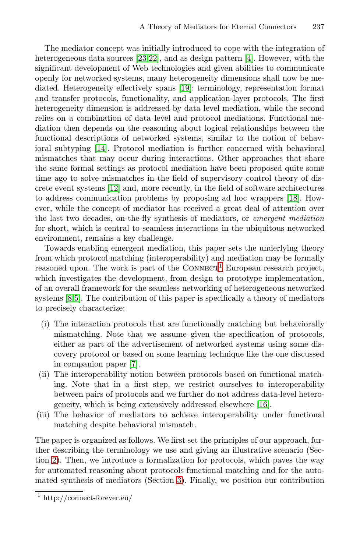The mediator concept was initially introduced to cope with the integration of heterogeneous data sources [23,22], and as design pattern [4]. However, with the significant development of Web technologies and given abilities to communicate openly for networked systems, many heterogeneity dimensions shall now be mediated. Heterogeneity effectively spans [19]: terminology, representation format and transfer protocols, functionality, and application-layer protocols. The first heterogeneity dimension is addressed by data level mediation, while the second relies on a combination of data level and protocol mediations. Functional mediation then depends on the reasoning about logical relationships between the functional descriptions of networked systems, similar to the notion of behavioral subtyping [14]. Protocol mediation is further concerned with behavioral mismatches that may occur during interactions. Other approaches that share the same formal settings as protocol mediation have been proposed quite some time ago to solve mismatches in the field of supervisory control theory of discrete event systems [12] and, more recently, in the field of software architectures to address communication problems by proposing ad hoc wrappers [18]. However, while the concept of mediator has received a great deal of attention over the last two decades, on-the-fly synthesis of mediators, or *emergent mediation* for short, which is central to seamless interactions in the ubiquitous networked environment, remains a key challenge.

Towards enabling emergent mediation, this paper sets the underlying theory from which protocol matching (interoperability) and mediation may be formally reasoned upon. The work is part of the  $COMNECT<sup>1</sup>$  European research project, which investigates the development, from design to prototype implementation, of an overall framework for the seamless networking of heterogeneous networked systems [8,5]. The contribution of this paper is specifically a theory of mediators to precisely characterize:

- (i) The interaction protocols that are functionally matching but behaviorally mismatching. Note that we assume given the specification of protocols, either as part of the advertisement of networked systems using some discovery protocol or based on some learning technique like the one discussed in companion paper [7].
- (ii) The interoperability notion between protocols based on functional matching. Note that in a first step, we restrict ourselves to interoperability between pairs of protocols and we further do not address data-level heterogeneity, which is being extensively addressed elsewhere [16].
- (iii) The behavior of mediators to achieve interoperability under functional matching despite behavioral mismatch.

The paper is organized as follows. We first set the principles of our approach, further describing the terminology we use and giving an illustrative scenario (Section 2). Then, we introduce a formalization for protocols, which paves the way for automated reasoning about protocols functional matching and for the automated synthesis of mediators (Section 3). Finally, we position our contribution

<sup>1</sup> http://connect-forever.eu/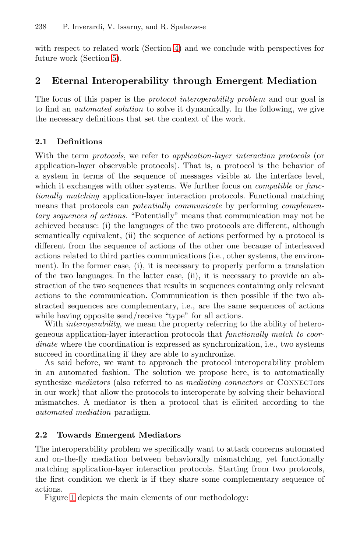with respect to related work (Section 4) and we conclude with perspectives for future work (Section 5).

# **2 Eternal Interoperability through Emergent Mediation**

The focus of this paper is the *protocol interoperability problem* and our goal is to find an *automated solution* to solve it dynamically. In the following, we give the necessary definitions that set the context of the work.

# **2.1 Definitions**

With the term *protocols*, we refer to *application-layer interaction protocols* (or application-layer observable protocols). That is, a protocol is the behavior of a system in terms of the sequence of messages visible at the interface level, which it exchanges with other systems. We further focus on *compatible* or *functionally matching* application-layer interaction protocols. Functional matching means that protocols can *potentially communicate* by performing *complementary sequences of actions*. "Potentially" means that communication may not be achieved because: (i) the languages of the two protocols are different, although semantically equivalent, (ii) the sequence of actions performed by a protocol is different from the sequence of actions of the other one because of interleaved actions related to third parties communications (i.e., other systems, the environment). In the former case, (i), it is necessary to properly perform a translation of the two languages. In the latter case, (ii), it is necessary to provide an abstraction of the two sequences that results in sequences containing only relevant actions to the communication. Communication is then possible if the two abstracted sequences are complementary, i.e., are the same sequences of actions while having opposite send/receive "type" for all actions.

With *interoperability*, we mean the property referring to the ability of heterogeneous application-layer interaction protocols that *functionally match to coordinate* where the coordination is expressed as synchronization, i.e., two systems succeed in coordinating if they are able to synchronize.

As said before, we want to approach the protocol interoperability problem in an automated fashion. The solution we propose here, is to automatically synthesize *mediators* (also referred to as *mediating connectors* or Connectors in our work) that allow the protocols to interoperate by solving their behavioral mismatches. A mediator is then a protocol that is elicited according to the *automated mediation* paradigm.

## **2.2 Towards Emergent Mediators**

The interoperability problem we specifically want to attack concerns automated and on-the-fly mediation between behaviorally mismatching, yet functionally matching application-layer interaction protocols. Starting from two protocols, the first condition we check is if they share some complementary sequence of actions.

Figure 1 depicts the main elements of our methodology: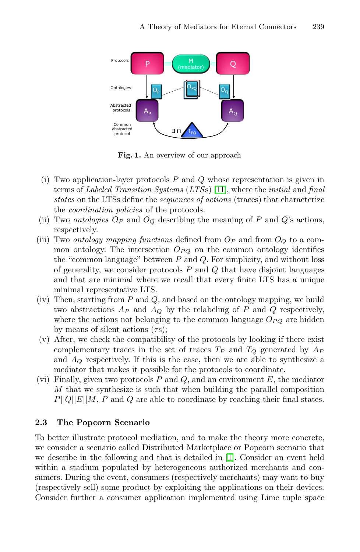

**Fig. 1.** An overview of our approach

- (i) Two application-layer protocols  $P$  and  $Q$  whose representation is given in terms of *Labeled Transition Systems* (*LTS*s) [11], where the *initial* and *final states* on the LTSs define the *sequences of actions* (traces) that characterize the *coordination policies* of the protocols.
- (ii) Two *ontologies*  $O_P$  and  $O_Q$  describing the meaning of P and Q's actions, respectively.
- (iii) Two *ontology mapping functions* defined from  $O_P$  and from  $O_Q$  to a common ontology. The intersection  $O_{PQ}$  on the common ontology identifies the "common language" between  $P$  and  $Q$ . For simplicity, and without loss of generality, we consider protocols  $P$  and  $Q$  that have disjoint languages and that are minimal where we recall that every finite LTS has a unique minimal representative LTS.
- (iv) Then, starting from  $P$  and  $Q$ , and based on the ontology mapping, we build two abstractions  $A_P$  and  $A_Q$  by the relabeling of P and Q respectively, where the actions not belonging to the common language  $O_{PQ}$  are hidden by means of silent actions  $(\tau s)$ ;
- (v) After, we check the compatibility of the protocols by looking if there exist complementary traces in the set of traces  $T_P$  and  $T_Q$  generated by  $A_P$ and  $A_{\mathcal{Q}}$  respectively. If this is the case, then we are able to synthesize a mediator that makes it possible for the protocols to coordinate.
- (vi) Finally, given two protocols  $P$  and  $Q$ , and an environment  $E$ , the mediator M that we synthesize is such that when building the parallel composition  $P||Q||E||M$ , P and Q are able to coordinate by reaching their final states.

#### **2.3 The Popcorn Scenario**

To better illustrate protocol mediation, and to make the theory more concrete, we consider a scenario called Distributed Marketplace or Popcorn scenario that we describe in the following and that is detailed in [1]. Consider an event held within a stadium populated by heterogeneous authorized merchants and consumers. During the event, consumers (respectively merchants) may want to buy (respectively sell) some product by exploiting the applications on their devices. Consider further a consumer application implemented using Lime tuple space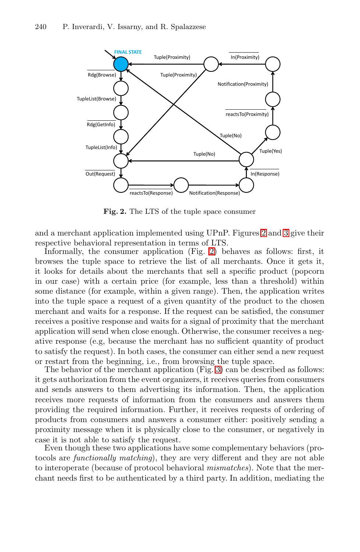

**Fig. 2.** The LTS of the tuple space consumer

and a merchant application implemented using UPnP. Figures 2 and 3 give their respective behavioral representation in terms of LTS.

Informally, the consumer application (Fig. 2) behaves as follows: first, it browses the tuple space to retrieve the list of all merchants. Once it gets it, it looks for details about the merchants that sell a specific product (popcorn in our case) with a certain price (for example, less than a threshold) within some distance (for example, within a given range). Then, the application writes into the tuple space a request of a given quantity of the product to the chosen merchant and waits for a response. If the request can be satisfied, the consumer receives a positive response and waits for a signal of proximity that the merchant application will send when close enough. Otherwise, the consumer receives a negative response (e.g, because the merchant has no sufficient quantity of product to satisfy the request). In both cases, the consumer can either send a new request or restart from the beginning, i.e., from browsing the tuple space.

The behavior of the merchant application (Fig. 3) can be described as follows: it gets authorization from the event organizers, it receives queries from consumers and sends answers to them advertising its information. Then, the application receives more requests of information from the consumers and answers them providing the required information. Further, it receives requests of ordering of products from consumers and answers a consumer either: positively sending a proximity message when it is physically close to the consumer, or negatively in case it is not able to satisfy the request.

Even though these two applications have some complementary behaviors (protocols are *functionally matching*), they are very different and they are not able to interoperate (because of protocol behavioral *mismatches*). Note that the merchant needs first to be authenticated by a third party. In addition, mediating the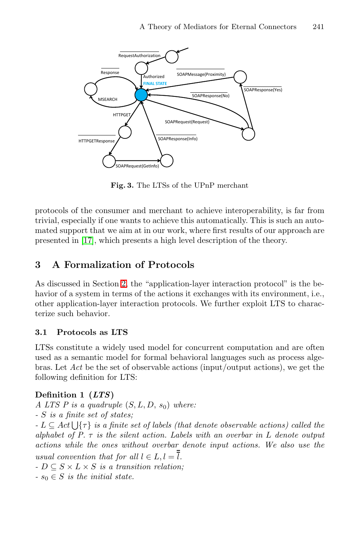

**Fig. 3.** The LTSs of the UPnP merchant

protocols of the consumer and merchant to achieve interoperability, is far from trivial, especially if one wants to achieve this automatically. This is such an automated support that we aim at in our work, where first results of our approach are presented in [17], which presents a high level description of the theory.

# **3 A Formalization of Protocols**

As discussed in Section 2, the "application-layer interaction protocol" is the behavior of a system in terms of the actions it exchanges with its environment, i.e., other application-layer interaction protocols. We further exploit LTS to characterize such behavior.

## **3.1 Protocols as LTS**

LTSs constitute a widely used model for concurrent computation and are often used as a semantic model for formal behavioral languages such as process algebras. Let *Act* be the set of observable actions (input/output actions), we get the following definition for LTS:

## **Definition 1 (***LTS***)**

*A LTS P is a quadruple*  $(S, L, D, s_0)$  *where: -* S *is a finite set of states;*  $I \subseteq Act \bigcup {\tau}$  *is a finite set of labels (that denote observable actions) called the alphabet of P.* τ *is the silent action. Labels with an overbar in* L *denote output actions while the ones without overbar denote input actions. We also use the usual convention that for all*  $l \in L, l = \overline{l}$ . *-* D ⊆ S × L × S *is a transition relation;*

 $- s_0 \in S$  *is the initial state.*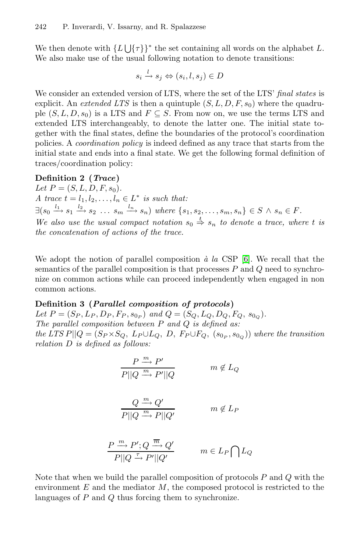We then denote with  ${L \bigcup {\{\tau\}}}^*$  the set containing all words on the alphabet L. We also make use of the usual following notation to denote transitions:

$$
s_i \xrightarrow{l} s_j \Leftrightarrow (s_i, l, s_j) \in D
$$

We consider an extended version of LTS, where the set of the LTS' *final states* is explicit. An *extended LTS* is then a quintuple  $(S, L, D, F, s_0)$  where the quadruple  $(S, L, D, s_0)$  is a LTS and  $F \subseteq S$ . From now on, we use the terms LTS and extended LTS interchangeably, to denote the latter one. The initial state together with the final states, define the boundaries of the protocol's coordination policies. A *coordination policy* is indeed defined as any trace that starts from the initial state and ends into a final state. We get the following formal definition of traces/coordination policy:

#### **Definition 2 (***Trace***)**

*Let*  $P = (S, L, D, F, s_0)$ *. A trace*  $t = l_1, l_2, \ldots, l_n \in L^*$  *is such that:*  $\exists (s_0 \stackrel{l_1}{\longrightarrow} s_1 \stackrel{l_2}{\longrightarrow} s_2 \dots s_m \stackrel{l_n}{\longrightarrow} s_n)$  where  $\{s_1, s_2, \dots, s_m, s_n\} \in S \land s_n \in F$ . *We also use the usual compact notation*  $s_0 \stackrel{t}{\Rightarrow} s_n$  *to denote a trace, where t is the concatenation of actions of the trace.*

We adopt the notion of parallel composition  $\dot{a}$  *la* CSP [6]. We recall that the semantics of the parallel composition is that processes  $P$  and  $Q$  need to synchronize on common actions while can proceed independently when engaged in non common actions.

#### **Definition 3 (***Parallel composition of protocols***)**

*Let*  $P = (S_P, L_P, D_P, F_P, s_{0_P})$  *and*  $Q = (S_Q, L_Q, D_Q, F_Q, s_{0_Q})$ *. The parallel composition between* P *and* Q *is defined as: the LTS*  $P||Q = (S_P \times S_Q, L_P \cup L_Q, D, F_P \cup F_Q, (s_{0_P}, s_{0_Q}))$  where the transition *relation* D *is defined as follows:*

$$
\frac{P \stackrel{m}{\longrightarrow} P'}{P||Q \stackrel{m}{\longrightarrow} P'||Q} \qquad m \notin L_Q
$$

$$
\frac{Q \xrightarrow{m} Q'}{P||Q \xrightarrow{m} P||Q'} \qquad m \notin L_F
$$

$$
\frac{P \xrightarrow{m} P'; Q \xrightarrow{\overline{m}} Q'}{P||Q \xrightarrow{\tau} P'||Q'} \qquad m \in L_P \bigcap L_Q
$$

Note that when we build the parallel composition of protocols  $P$  and  $Q$  with the environment  $E$  and the mediator  $M$ , the composed protocol is restricted to the languages of  $P$  and  $Q$  thus forcing them to synchronize.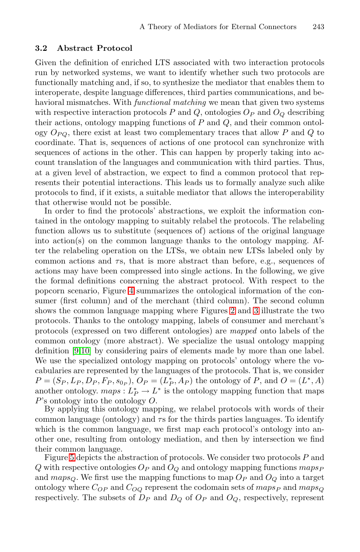#### **3.2 Abstract Protocol**

Given the definition of enriched LTS associated with two interaction protocols run by networked systems, we want to identify whether such two protocols are functionally matching and, if so, to synthesize the mediator that enables them to interoperate, despite language differences, third parties communications, and behavioral mismatches. With *functional matching* we mean that given two systems with respective interaction protocols  $P$  and  $Q$ , ontologies  $O_P$  and  $O_Q$  describing their actions, ontology mapping functions of P and Q, and their common ontology  $O_{PO}$ , there exist at least two complementary traces that allow P and Q to coordinate. That is, sequences of actions of one protocol can synchronize with sequences of actions in the other. This can happen by properly taking into account translation of the languages and communication with third parties. Thus, at a given level of abstraction, we expect to find a common protocol that represents their potential interactions. This leads us to formally analyze such alike protocols to find, if it exists, a suitable mediator that allows the interoperability that otherwise would not be possible.

In order to find the protocols' abstractions, we exploit the information contained in the ontology mapping to suitably relabel the protocols. The relabeling function allows us to substitute (sequences of) actions of the original language into action(s) on the common language thanks to the ontology mapping. After the relabeling operation on the LTSs, we obtain new LTSs labeled only by common actions and  $\tau s$ , that is more abstract than before, e.g., sequences of actions may have been compressed into single actions. In the following, we give the formal definitions concerning the abstract protocol. With respect to the popcorn scenario, Figure 4 summarizes the ontological information of the consumer (first column) and of the merchant (third column). The second column shows the common language mapping where Figures 2 and 3 illustrate the two protocols. Thanks to the ontology mapping, labels of consumer and merchant's protocols (expressed on two different ontologies) are *mapped* onto labels of the common ontology (more abstract). We specialize the usual ontology mapping definition [9,10] by considering pairs of elements made by more than one label. We use the specialized ontology mapping on protocols' ontology where the vocabularies are represented by the languages of the protocols. That is, we consider  $P = (S_P, L_P, D_P, F_P, s_{0_P}),$   $O_P = (L_P^*, A_P)$  the ontology of P, and  $O = (L^*, A)$ another ontology.  $maps: L_P^* \to L^*$  is the ontology mapping function that maps  $P$ 's ontology into the ontology  $O$ .<br>By applying this ontology mapping, we relabel protocols with words of their

common language (ontology) and  $\tau s$  for the thirds parties languages. To identify which is the common language, we first map each protocol's ontology into another one, resulting from ontology mediation, and then by intersection we find their common language.

Figure 5 depicts the abstraction of protocols. We consider two protocols P and Q with respective ontologies  $O_P$  and  $O_Q$  and ontology mapping functions  $maps_P$ and  $maps<sub>O</sub>$ . We first use the mapping functions to map  $O<sub>P</sub>$  and  $O<sub>O</sub>$  into a target ontology where  $C_{OP}$  and  $C_{OO}$  represent the codomain sets of maps<sub>P</sub> and maps<sub>Q</sub> respectively. The subsets of  $D_P$  and  $D_Q$  of  $O_P$  and  $O_Q$ , respectively, represent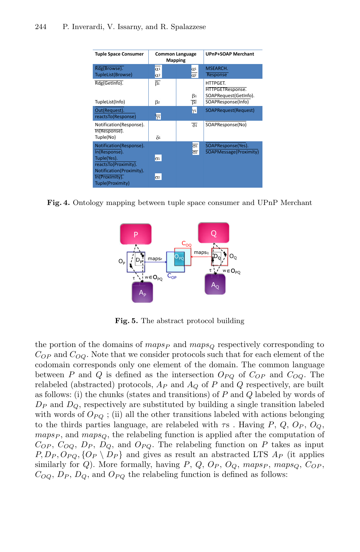

**Fig. 4.** Ontology mapping between tuple space consumer and UPnP Merchant



**Fig. 5.** The abstract protocol building

the portion of the domains of  $maps_P$  and  $maps_Q$  respectively corresponding to  $C_{OP}$  and  $C_{OQ}$ . Note that we consider protocols such that for each element of the codomain corresponds only one element of the domain. The common language between P and Q is defined as the intersection  $O_{PQ}$  of  $C_{OP}$  and  $C_{OQ}$ . The relabeled (abstracted) protocols,  $A_P$  and  $A_Q$  of P and Q respectively, are built as follows: (i) the chunks (states and transitions) of  $P$  and  $Q$  labeled by words of  $D_P$  and  $D_Q$ , respectively are substituted by building a single transition labeled with words of  $O_{PQ}$ ; (ii) all the other transitions labeled with actions belonging to the thirds parties language, are relabeled with  $\tau s$ . Having P, Q,  $O_P$ ,  $O_Q$ ,  $maps_P$ , and  $maps_Q$ , the relabeling function is applied after the computation of  $C_{OP}$ ,  $C_{OQ}$ ,  $D_P$ ,  $D_Q$ , and  $O_{PQ}$ . The relabeling function on P takes as input  $P, D_P, O_{PO}, \{O_P \setminus D_P\}$  and gives as result an abstracted LTS  $A_P$  (it applies similarly for Q). More formally, having  $P$ ,  $Q$ ,  $O_P$ ,  $O_Q$ ,  $maps_P$ ,  $maps_Q$ ,  $C_{OP}$ ,  $C_{OQ}, D_P, D_Q$ , and  $O_{PQ}$  the relabeling function is defined as follows: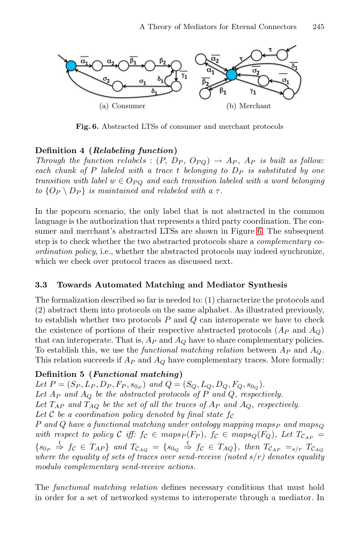

**Fig. 6.** Abstracted LTSs of consumer and merchant protocols

#### **Definition 4 (***Relabeling function***)**

*Through the function relabels* :  $(P, D_P, O_{PQ}) \rightarrow A_P, A_P$  *is built as follow: each chunk of* P *labeled with a trace t belonging to*  $D<sub>P</sub>$  *is substituted by one transition with label*  $w \in O_{PO}$  *and each transition labeled with a word belonging to*  $\{O_P \setminus D_P\}$  *is maintained and relabeled with a*  $\tau$ *.* 

In the popcorn scenario, the only label that is not abstracted in the common language is the authorization that represents a third party coordination. The consumer and merchant's abstracted LTSs are shown in Figure 6. The subsequent step is to check whether the two abstracted protocols share a *complementary coordination policy*, i.e., whether the abstracted protocols may indeed synchronize, which we check over protocol traces as discussed next.

#### **3.3 Towards Automated Matching and Mediator Synthesis**

The formalization described so far is needed to: (1) characterize the protocols and (2) abstract them into protocols on the same alphabet. As illustrated previously, to establish whether two protocols  $P$  and  $Q$  can interoperate we have to check the existence of portions of their respective abstracted protocols  $(A_P \text{ and } A_O)$ that can interoperate. That is,  $A_P$  and  $A_Q$  have to share complementary policies. To establish this, we use the *functional matching relation* between  $A_P$  and  $A_Q$ . This relation succeeds if  $A_P$  and  $A_Q$  have complementary traces. More formally:

#### **Definition 5 (***Functional matching***)**

*Let*  $P = (S_P, L_P, D_P, F_P, s_{0_P})$  *and*  $Q = (S_Q, L_Q, D_Q, F_Q, s_{0_Q})$ *.* Let  $A_P$  and  $A_Q$  be the abstracted protocols of P and Q, respectively. Let  $T_{AP}$  and  $T_{AO}$  be the set of all the traces of  $A_P$  and  $A_O$ , respectively. Let  $\mathcal C$  be a coordination policy denoted by final state  $f_{\mathcal C}$ P and Q have a functional matching under ontology mapping maps<sub>P</sub> and maps<sub>Q</sub> *with respect to policy* C *iff:*  $f_c \in maps_P(F_P)$ ,  $f_c \in maps_Q(F_Q)$ , Let  $T_{C_{AP}} =$  $\{s_{0_P} \stackrel{t}{\Rightarrow} f_C \in T_{AP}\}\$  and  $T_{C_{AQ}} = \{s_{0_Q} \stackrel{t}{\Rightarrow} f_C \in T_{AQ}\}\$ , then  $T_{C_{AP}} =_{s/r} T_{C_{AQ}}$ *where the equality of sets of traces over send-receive (noted* s/r*) denotes equality modulo complementary send-receive actions.*

The *functional matching relation* defines necessary conditions that must hold in order for a set of networked systems to interoperate through a mediator. In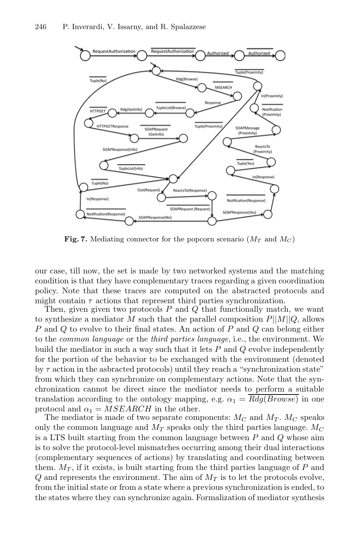

**Fig. 7.** Mediating connector for the popcorn scenario  $(M_T \text{ and } M_C)$ 

our case, till now, the set is made by two networked systems and the matching condition is that they have complementary traces regarding a given coordination policy. Note that these traces are computed on the abstracted protocols and might contain  $\tau$  actions that represent third parties synchronization.

Then, given given two protocols  $P$  and  $Q$  that functionally match, we want to synthesize a mediator M such that the parallel composition  $P||M||Q$ , allows P and Q to evolve to their final states. An action of P and Q can belong either to the *common language* or the *third parties language*, i.e., the environment. We build the mediator in such a way such that it lets  $P$  and  $Q$  evolve independently for the portion of the behavior to be exchanged with the environment (denoted by  $\tau$  action in the asbracted protocols) until they reach a "synchronization state" from which they can synchronize on complementary actions. Note that the synchronization cannot be direct since the mediator needs to perform a suitable translation according to the ontology mapping, e.g.  $\alpha_1 = Rdg(Browse)$  in one protocol and  $\alpha_1 = MSEARCH$  in the other.

The mediator is made of two separate components:  $M_C$  and  $M_T$ .  $M_C$  speaks only the common language and  $M_T$  speaks only the third parties language.  $M_C$ is a LTS built starting from the common language between  $P$  and  $Q$  whose aim is to solve the protocol-level mismatches occurring among their dual interactions (complementary sequences of actions) by translating and coordinating between them.  $M_T$ , if it exists, is built starting from the third parties language of P and  $Q$  and represents the environment. The aim of  $M_T$  is to let the protocols evolve, from the initial state or from a state where a previous synchronization is ended, to the states where they can synchronize again. Formalization of mediator synthesis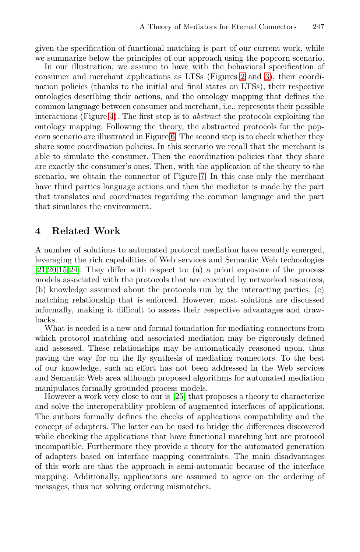given the specification of functional matching is part of our current work, while we summarize below the principles of our approach using the popcorn scenario.

In our illustration, we assume to have with the behavioral specification of consumer and merchant applications as LTSs (Figures 2 and 3), their coordination policies (thanks to the initial and final states on LTSs), their respective ontologies describing their actions, and the ontology mapping that defines the common language between consumer and merchant, i.e., represents their possible interactions (Figure 4). The first step is to *abstract* the protocols exploiting the ontology mapping. Following the theory, the abstracted protocols for the popcorn scenario are illustrated in Figure 6. The second step is to check whether they share some coordination policies. In this scenario we recall that the merchant is able to simulate the consumer. Then the coordination policies that they share are exactly the consumer's ones. Then, with the application of the theory to the scenario, we obtain the connector of Figure 7. In this case only the merchant have third parties language actions and then the mediator is made by the part that translates and coordinates regarding the common language and the part that simulates the environment.

#### **4 Related Work**

A number of solutions to automated protocol mediation have recently emerged, leveraging the rich capabilities of Web services and Semantic Web technologies [21,20,15,24]. They differ with respect to: (a) a priori exposure of the process models associated with the protocols that are executed by networked resources, (b) knowledge assumed about the protocols run by the interacting parties, (c) matching relationship that is enforced. However, most solutions are discussed informally, making it difficult to assess their respective advantages and drawbacks.

What is needed is a new and formal foundation for mediating connectors from which protocol matching and associated mediation may be rigorously defined and assessed. These relationships may be automatically reasoned upon, thus paving the way for on the fly synthesis of mediating connectors. To the best of our knowledge, such an effort has not been addressed in the Web services and Semantic Web area although proposed algorithms for automated mediation manipulates formally grounded process models.

However a work very close to our is [25] that proposes a theory to characterize and solve the interoperability problem of augmented interfaces of applications. The authors formally defines the checks of applications compatibility and the concept of adapters. The latter can be used to bridge the differences discovered while checking the applications that have functional matching but are protocol incompatible. Furthermore they provide a theory for the automated generation of adapters based on interface mapping constraints. The main disadvantages of this work are that the approach is semi-automatic because of the interface mapping. Additionally, applications are assumed to agree on the ordering of messages, thus not solving ordering mismatches.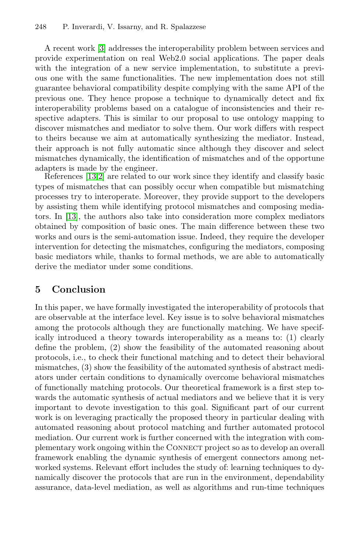A recent work [3] addresses the interoperability problem between services and provide experimentation on real Web2.0 social applications. The paper deals with the integration of a new service implementation, to substitute a previous one with the same functionalities. The new implementation does not still guarantee behavioral compatibility despite complying with the same API of the previous one. They hence propose a technique to dynamically detect and fix interoperability problems based on a catalogue of inconsistencies and their respective adapters. This is similar to our proposal to use ontology mapping to discover mismatches and mediator to solve them. Our work differs with respect to theirs because we aim at automatically synthesizing the mediator. Instead, their approach is not fully automatic since although they discover and select mismatches dynamically, the identification of mismatches and of the opportune adapters is made by the engineer.

References [13,2] are related to our work since they identify and classify basic types of mismatches that can possibly occur when compatible but mismatching processes try to interoperate. Moreover, they provide support to the developers by assisting them while identifying protocol mismatches and composing mediators. In [13], the authors also take into consideration more complex mediators obtained by composition of basic ones. The main difference between these two works and ours is the semi-automation issue. Indeed, they require the developer intervention for detecting the mismatches, configuring the mediators, composing basic mediators while, thanks to formal methods, we are able to automatically derive the mediator under some conditions.

# **5 Conclusion**

In this paper, we have formally investigated the interoperability of protocols that are observable at the interface level. Key issue is to solve behavioral mismatches among the protocols although they are functionally matching. We have specifically introduced a theory towards interoperability as a means to: (1) clearly define the problem, (2) show the feasibility of the automated reasoning about protocols, i.e., to check their functional matching and to detect their behavioral mismatches, (3) show the feasibility of the automated synthesis of abstract mediators under certain conditions to dynamically overcome behavioral mismatches of functionally matching protocols. Our theoretical framework is a first step towards the automatic synthesis of actual mediators and we believe that it is very important to devote investigation to this goal. Significant part of our current work is on leveraging practically the proposed theory in particular dealing with automated reasoning about protocol matching and further automated protocol mediation. Our current work is further concerned with the integration with complementary work ongoing within the Connect project so as to develop an overall framework enabling the dynamic synthesis of emergent connectors among networked systems. Relevant effort includes the study of: learning techniques to dynamically discover the protocols that are run in the environment, dependability assurance, data-level mediation, as well as algorithms and run-time techniques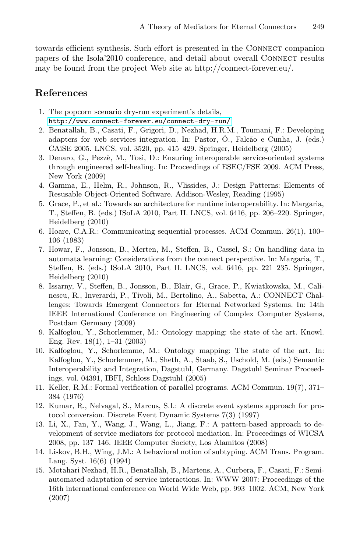towards efficient synthesis. Such effort is presented in the CONNECT companion papers of the Isola'2010 conference, and detail about overall Connect results may be found from the project Web site at http://connect-forever.eu/.

# **References**

- 1. The popcorn scenario dry-run experiment's details, <http://www.connect-forever.eu/connect-dry-run/>
- 2. Benatallah, B., Casati, F., Grigori, D., Nezhad, H.R.M., Toumani, F.: Developing adapters for web services integration. In: Pastor, Ó., Falcão e Cunha, J. (eds.) CAiSE 2005. LNCS, vol. 3520, pp. 415–429. Springer, Heidelberg (2005)
- 3. Denaro, G., Pezzè, M., Tosi, D.: Ensuring interoperable service-oriented systems through engineered self-healing. In: Proceedings of ESEC/FSE 2009. ACM Press, New York (2009)
- 4. Gamma, E., Helm, R., Johnson, R., Vlissides, J.: Design Patterns: Elements of Resusable Object-Oriented Software. Addison-Wesley, Reading (1995)
- 5. Grace, P., et al.: Towards an architecture for runtime interoperability. In: Margaria, T., Steffen, B. (eds.) ISoLA 2010, Part II. LNCS, vol. 6416, pp. 206–220. Springer, Heidelberg (2010)
- 6. Hoare, C.A.R.: Communicating sequential processes. ACM Commun. 26(1), 100– 106 (1983)
- 7. Howar, F., Jonsson, B., Merten, M., Steffen, B., Cassel, S.: On handling data in automata learning: Considerations from the connect perspective. In: Margaria, T., Steffen, B. (eds.) ISoLA 2010, Part II. LNCS, vol. 6416, pp. 221–235. Springer, Heidelberg (2010)
- 8. Issarny, V., Steffen, B., Jonsson, B., Blair, G., Grace, P., Kwiatkowska, M., Calinescu, R., Inverardi, P., Tivoli, M., Bertolino, A., Sabetta, A.: CONNECT Challenges: Towards Emergent Connectors for Eternal Networked Systems. In: 14th IEEE International Conference on Engineering of Complex Computer Systems, Postdam Germany (2009)
- 9. Kalfoglou, Y., Schorlemmer, M.: Ontology mapping: the state of the art. Knowl. Eng. Rev. 18(1), 1–31 (2003)
- 10. Kalfoglou, Y., Schorlemme, M.: Ontology mapping: The state of the art. In: Kalfoglou, Y., Schorlemmer, M., Sheth, A., Staab, S., Uschold, M. (eds.) Semantic Interoperability and Integration, Dagstuhl, Germany. Dagstuhl Seminar Proceedings, vol. 04391, IBFI, Schloss Dagstuhl (2005)
- 11. Keller, R.M.: Formal verification of parallel programs. ACM Commun. 19(7), 371– 384 (1976)
- 12. Kumar, R., Nelvagal, S., Marcus, S.I.: A discrete event systems approach for protocol conversion. Discrete Event Dynamic Systems 7(3) (1997)
- 13. Li, X., Fan, Y., Wang, J., Wang, L., Jiang, F.: A pattern-based approach to development of service mediators for protocol mediation. In: Proceedings of WICSA 2008, pp. 137–146. IEEE Computer Society, Los Alamitos (2008)
- 14. Liskov, B.H., Wing, J.M.: A behavioral notion of subtyping. ACM Trans. Program. Lang. Syst. 16(6) (1994)
- 15. Motahari Nezhad, H.R., Benatallah, B., Martens, A., Curbera, F., Casati, F.: Semiautomated adaptation of service interactions. In: WWW 2007: Proceedings of the 16th international conference on World Wide Web, pp. 993–1002. ACM, New York (2007)